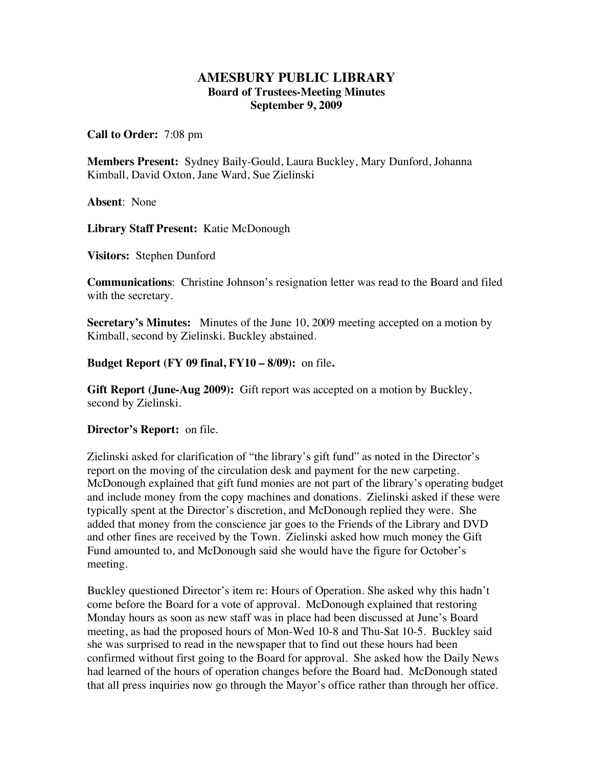## **AMESBURY PUBLIC LIBRARY Board of Trustees-Meeting Minutes September 9, 2009**

**Call to Order:** 7:08 pm

**Members Present:** Sydney Baily-Gould, Laura Buckley, Mary Dunford, Johanna Kimball, David Oxton, Jane Ward, Sue Zielinski

**Absent**: None

**Library Staff Present:** Katie McDonough

**Visitors:** Stephen Dunford

**Communications**: Christine Johnson's resignation letter was read to the Board and filed with the secretary.

**Secretary's Minutes:** Minutes of the June 10, 2009 meeting accepted on a motion by Kimball, second by Zielinski. Buckley abstained.

**Budget Report (FY 09 final, FY10 – 8/09):** on file**.** 

**Gift Report (June-Aug 2009):** Gift report was accepted on a motion by Buckley, second by Zielinski.

**Director's Report:** on file.

Zielinski asked for clarification of "the library's gift fund" as noted in the Director's report on the moving of the circulation desk and payment for the new carpeting. McDonough explained that gift fund monies are not part of the library's operating budget and include money from the copy machines and donations. Zielinski asked if these were typically spent at the Director's discretion, and McDonough replied they were. She added that money from the conscience jar goes to the Friends of the Library and DVD and other fines are received by the Town. Zielinski asked how much money the Gift Fund amounted to, and McDonough said she would have the figure for October's meeting.

Buckley questioned Director's item re: Hours of Operation. She asked why this hadn't come before the Board for a vote of approval. McDonough explained that restoring Monday hours as soon as new staff was in place had been discussed at June's Board meeting, as had the proposed hours of Mon-Wed 10-8 and Thu-Sat 10-5. Buckley said she was surprised to read in the newspaper that to find out these hours had been confirmed without first going to the Board for approval. She asked how the Daily News had learned of the hours of operation changes before the Board had. McDonough stated that all press inquiries now go through the Mayor's office rather than through her office.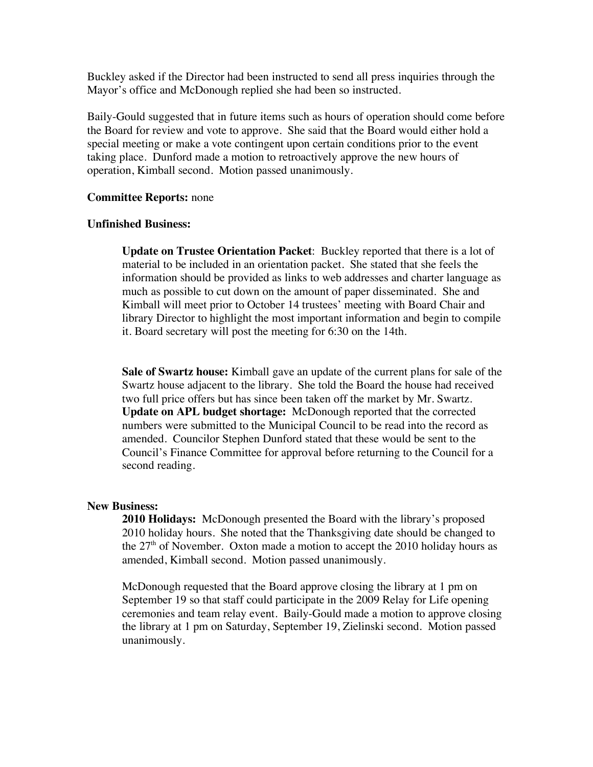Buckley asked if the Director had been instructed to send all press inquiries through the Mayor's office and McDonough replied she had been so instructed.

Baily-Gould suggested that in future items such as hours of operation should come before the Board for review and vote to approve. She said that the Board would either hold a special meeting or make a vote contingent upon certain conditions prior to the event taking place. Dunford made a motion to retroactively approve the new hours of operation, Kimball second. Motion passed unanimously.

## **Committee Reports:** none

## **Unfinished Business:**

**Update on Trustee Orientation Packet**: Buckley reported that there is a lot of material to be included in an orientation packet. She stated that she feels the information should be provided as links to web addresses and charter language as much as possible to cut down on the amount of paper disseminated. She and Kimball will meet prior to October 14 trustees' meeting with Board Chair and library Director to highlight the most important information and begin to compile it. Board secretary will post the meeting for 6:30 on the 14th.

**Sale of Swartz house:** Kimball gave an update of the current plans for sale of the Swartz house adjacent to the library. She told the Board the house had received two full price offers but has since been taken off the market by Mr. Swartz. **Update on APL budget shortage:** McDonough reported that the corrected numbers were submitted to the Municipal Council to be read into the record as amended. Councilor Stephen Dunford stated that these would be sent to the Council's Finance Committee for approval before returning to the Council for a second reading.

## **New Business:**

**2010 Holidays:** McDonough presented the Board with the library's proposed 2010 holiday hours. She noted that the Thanksgiving date should be changed to the  $27<sup>th</sup>$  of November. Oxton made a motion to accept the 2010 holiday hours as amended, Kimball second. Motion passed unanimously.

McDonough requested that the Board approve closing the library at 1 pm on September 19 so that staff could participate in the 2009 Relay for Life opening ceremonies and team relay event. Baily-Gould made a motion to approve closing the library at 1 pm on Saturday, September 19, Zielinski second. Motion passed unanimously.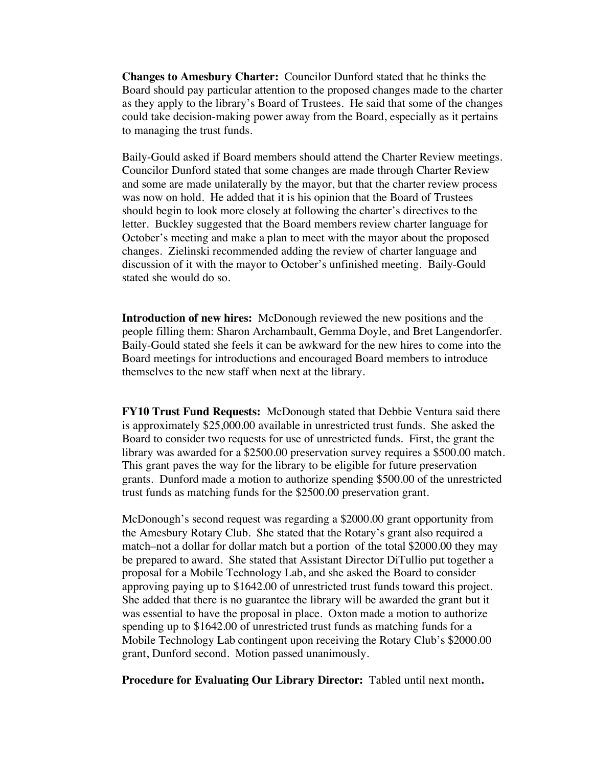**Changes to Amesbury Charter:** Councilor Dunford stated that he thinks the Board should pay particular attention to the proposed changes made to the charter as they apply to the library's Board of Trustees. He said that some of the changes could take decision-making power away from the Board, especially as it pertains to managing the trust funds.

Baily-Gould asked if Board members should attend the Charter Review meetings. Councilor Dunford stated that some changes are made through Charter Review and some are made unilaterally by the mayor, but that the charter review process was now on hold. He added that it is his opinion that the Board of Trustees should begin to look more closely at following the charter's directives to the letter. Buckley suggested that the Board members review charter language for October's meeting and make a plan to meet with the mayor about the proposed changes. Zielinski recommended adding the review of charter language and discussion of it with the mayor to October's unfinished meeting. Baily-Gould stated she would do so.

**Introduction of new hires:** McDonough reviewed the new positions and the people filling them: Sharon Archambault, Gemma Doyle, and Bret Langendorfer. Baily-Gould stated she feels it can be awkward for the new hires to come into the Board meetings for introductions and encouraged Board members to introduce themselves to the new staff when next at the library.

**FY10 Trust Fund Requests:** McDonough stated that Debbie Ventura said there is approximately \$25,000.00 available in unrestricted trust funds. She asked the Board to consider two requests for use of unrestricted funds. First, the grant the library was awarded for a \$2500.00 preservation survey requires a \$500.00 match. This grant paves the way for the library to be eligible for future preservation grants. Dunford made a motion to authorize spending \$500.00 of the unrestricted trust funds as matching funds for the \$2500.00 preservation grant.

McDonough's second request was regarding a \$2000.00 grant opportunity from the Amesbury Rotary Club. She stated that the Rotary's grant also required a match–not a dollar for dollar match but a portion of the total \$2000.00 they may be prepared to award. She stated that Assistant Director DiTullio put together a proposal for a Mobile Technology Lab, and she asked the Board to consider approving paying up to \$1642.00 of unrestricted trust funds toward this project. She added that there is no guarantee the library will be awarded the grant but it was essential to have the proposal in place. Oxton made a motion to authorize spending up to \$1642.00 of unrestricted trust funds as matching funds for a Mobile Technology Lab contingent upon receiving the Rotary Club's \$2000.00 grant, Dunford second. Motion passed unanimously.

**Procedure for Evaluating Our Library Director:** Tabled until next month**.**